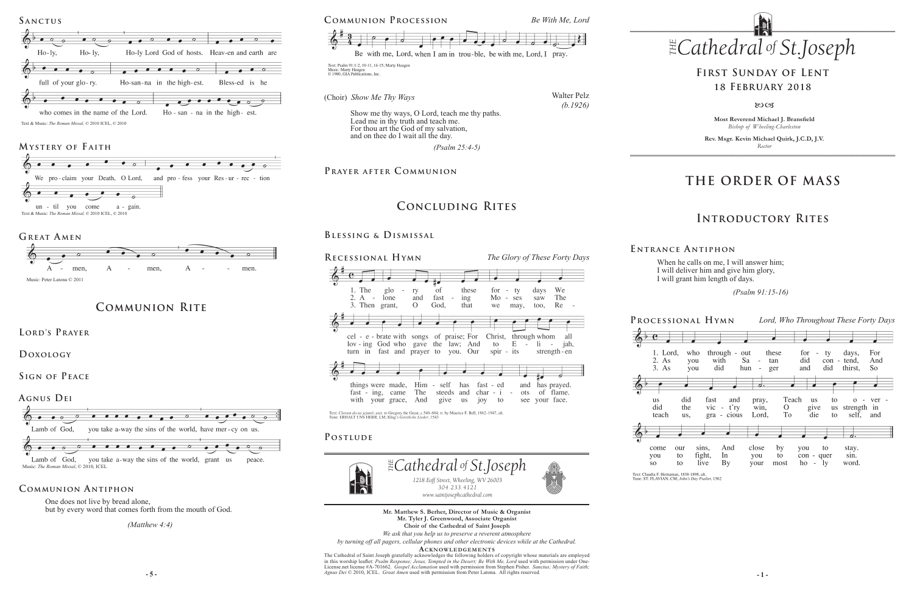**Most Reverend Michael J. Bransfield** *Bishop of Wheeling-Charleston*

**Rev. Msgr. Kevin Michael Quirk, J.C.D, J.V.** *Rector*



**Processional Hymn** *Lord, Who Throughout These Forty Days* who these days, 1. Lord, through out for For  $\sim$ ty 2. As with Sa did  $\overline{\text{con}}$  - tend, vou - tan And 3. As you did hun  $\sim$ ger and did thirst, **So** did fast and Teach **us** to pray,  $0 - \text{ver}$ the vic  $- t'ry$  $\overline{O}$ us strength in win. give To self, and teach us, gra - cious Lord, die to And close by to stay. come our sins, you to fight, In you  $con - quer$ sin. you to **SO** to live **By** your most  $ho - ly$ word.

Text: Claudia F. Hernaman, 1838-1898, alt.<br>Tune: ST. FLAVIAN, CM; John's Day Psalter, 1562



## **THE ORDER OF MASS**

## **Introductory Rites**

## **First Sunday of Lent 18 February 2018**

#### $80C<sub>3</sub>$

When he calls on me, I will answer him; I will deliver him and give him glory, I will grant him length of days.

 *(Psalm 91:15-16)* 

**E ntrance A ntiphon**

One does not live by bread alone, but by every word that comes forth from the mouth of God.

> **- 5 - - 1 -** *Agnus Dei* © 2010, ICEL. *Great Amen* used with permission from Peter Latona. All rights reserved. The Cathedral of Saint Joseph gratefully acknowledges the following holders of copyright whose materials are employed in this worship leaflet: *Psalm Response; Jesus, Tempted in the Desert; Be With Me, Lord* used with permission under One-License.net license #A-701662. *Gospel Acclamation* used with permission from Stephen Pisher. *Sanctus; Mystery of Faith;*





 *(Matthew 4:4)*

### **Communion Antiphon**

**Mr. Matthew S. Berher, Director of Music & Organist Mr. Tyler J. Greenwood, Associate Organist Choir of the Cathedral of Saint Joseph**



Text: Clarum decus jejunii; ascr. to Gregory the Great, c.540-604; tr. by Maurice F. Bell, 1862-1947, alt. Tune: ERHALT UNS HERR, LM; Klug's Geistliche Lieder, 1543

### POSTLUDE

*We ask that you help us to preserve a reverent atmosphere by turning off all pagers, cellular phones and other electronic devices while at the Cathedral.*

**Acknowledgement s**

**Communion Rite**

**Lord's Prayer**

**Doxology** 

**Sign of Peace** 



Text & Music: *The Roman Missal,* © 2010 ICEL, © 2010

## **Mystery of F aith**